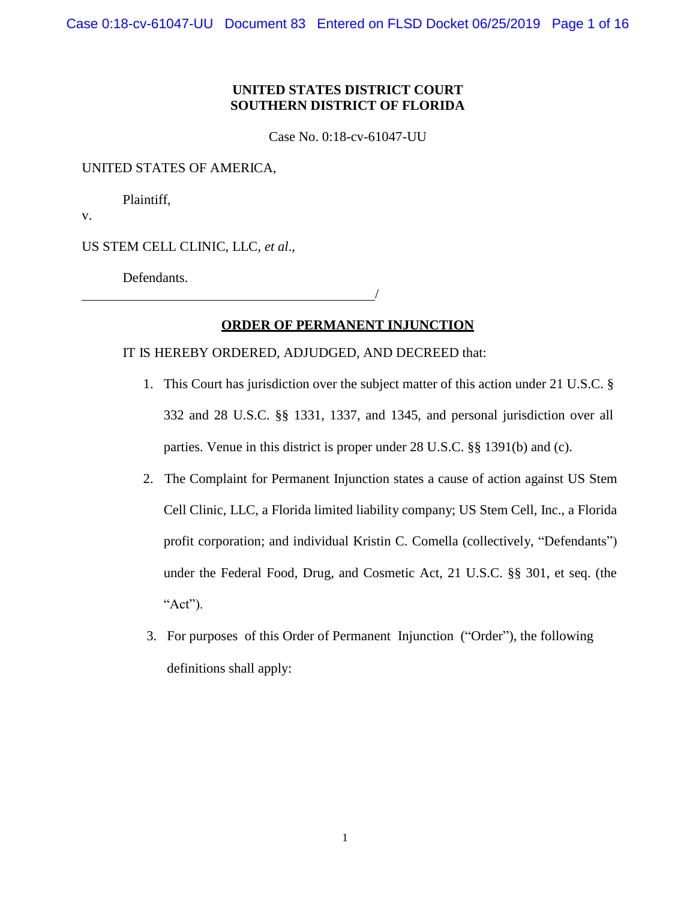## **UNITED STATES DISTRICT COURT SOUTHERN DISTRICT OF FLORIDA**

Case No. 0:18-cv-61047-UU

UNITED STATES OF AMERICA,

Plaintiff,

v.

US STEM CELL CLINIC, LLC, *et al*.,

Defendants.

## **ORDER OF PERMANENT INJUNCTION**

## IT IS HEREBY ORDERED, ADJUDGED, AND DECREED that:

1. This Court has jurisdiction over the subject matter of this action under 21 U.S.C. § 332 and 28 U.S.C. §§ 1331, 1337, and 1345, and personal jurisdiction over all parties. Venue in this district is proper under 28 U.S.C. §§ 1391(b) and (c).

/

- 2. The Complaint for Permanent Injunction states a cause of action against US Stem Cell Clinic, LLC, a Florida limited liability company; US Stem Cell, Inc., a Florida profit corporation; and individual Kristin C. Comella (collectively, "Defendants") under the Federal Food, Drug, and Cosmetic Act, 21 U.S.C. §§ 301, et seq. (the " $Act$ ").
- 3. For purposes of this Order of Permanent Injunction ("Order"), the following definitions shall apply: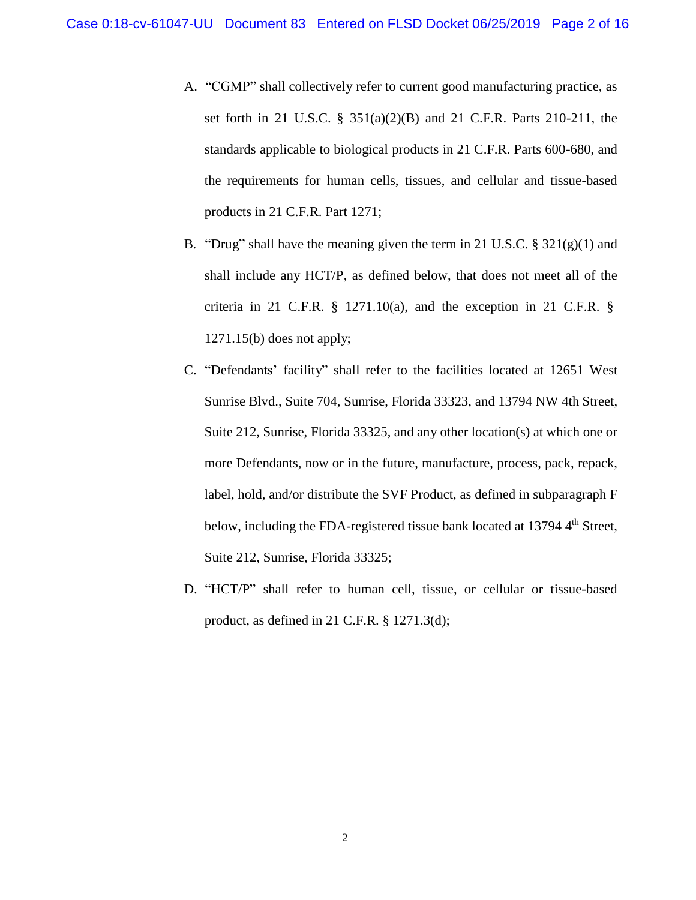- A. "CGMP" shall collectively refer to current good manufacturing practice, as set forth in 21 U.S.C. § 351(a)(2)(B) and 21 C.F.R. Parts 210-211, the standards applicable to biological products in 21 C.F.R. Parts 600-680, and the requirements for human cells, tissues, and cellular and tissue-based products in 21 C.F.R. Part 1271;
- B. "Drug" shall have the meaning given the term in 21 U.S.C.  $\S 321(g)(1)$  and shall include any HCT/P, as defined below, that does not meet all of the criteria in 21 C.F.R. § 1271.10(a), and the exception in 21 C.F.R. § 1271.15(b) does not apply;
- C. "Defendants' facility" shall refer to the facilities located at 12651 West Sunrise Blvd., Suite 704, Sunrise, Florida 33323, and 13794 NW 4th Street, Suite 212, Sunrise, Florida 33325, and any other location(s) at which one or more Defendants, now or in the future, manufacture, process, pack, repack, label, hold, and/or distribute the SVF Product, as defined in subparagraph F below, including the FDA-registered tissue bank located at 13794 4<sup>th</sup> Street, Suite 212, Sunrise, Florida 33325;
- D. "HCT/P" shall refer to human cell, tissue, or cellular or tissue-based product, as defined in 21 C.F.R. § 1271.3(d);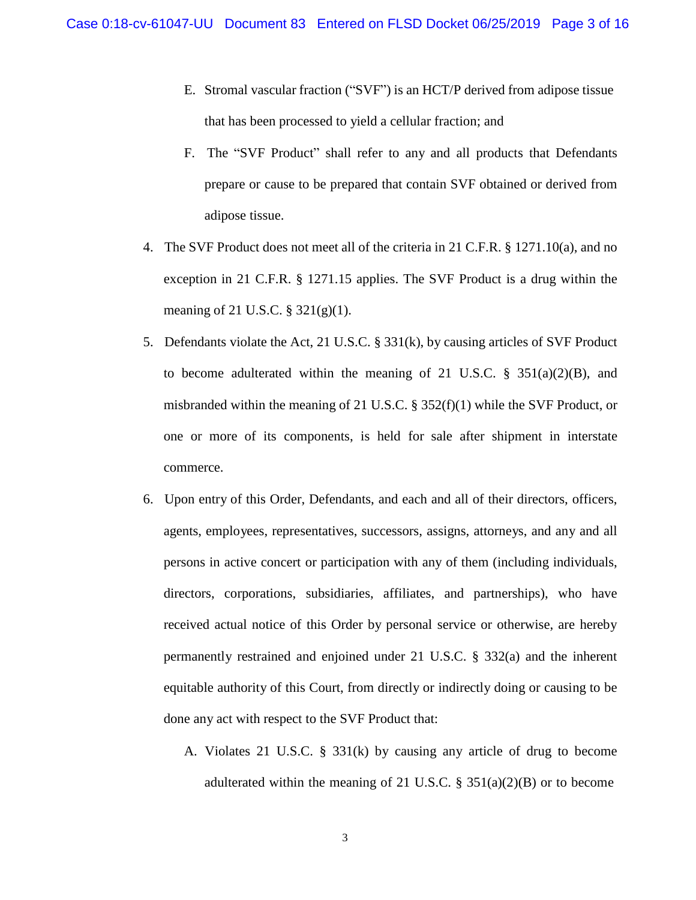- E. Stromal vascular fraction ("SVF") is an HCT/P derived from adipose tissue that has been processed to yield a cellular fraction; and
- F. The "SVF Product" shall refer to any and all products that Defendants prepare or cause to be prepared that contain SVF obtained or derived from adipose tissue.
- 4. The SVF Product does not meet all of the criteria in 21 C.F.R. § 1271.10(a), and no exception in 21 C.F.R. § 1271.15 applies. The SVF Product is a drug within the meaning of 21 U.S.C. § 321(g)(1).
- 5. Defendants violate the Act, 21 U.S.C. § 331(k), by causing articles of SVF Product to become adulterated within the meaning of 21 U.S.C. § 351(a)(2)(B), and misbranded within the meaning of 21 U.S.C. §  $352(f)(1)$  while the SVF Product, or one or more of its components, is held for sale after shipment in interstate commerce.
- 6. Upon entry of this Order, Defendants, and each and all of their directors, officers, agents, employees, representatives, successors, assigns, attorneys, and any and all persons in active concert or participation with any of them (including individuals, directors, corporations, subsidiaries, affiliates, and partnerships), who have received actual notice of this Order by personal service or otherwise, are hereby permanently restrained and enjoined under 21 U.S.C. § 332(a) and the inherent equitable authority of this Court, from directly or indirectly doing or causing to be done any act with respect to the SVF Product that:
	- A. Violates 21 U.S.C. § 331(k) by causing any article of drug to become adulterated within the meaning of 21 U.S.C.  $\S$  351(a)(2)(B) or to become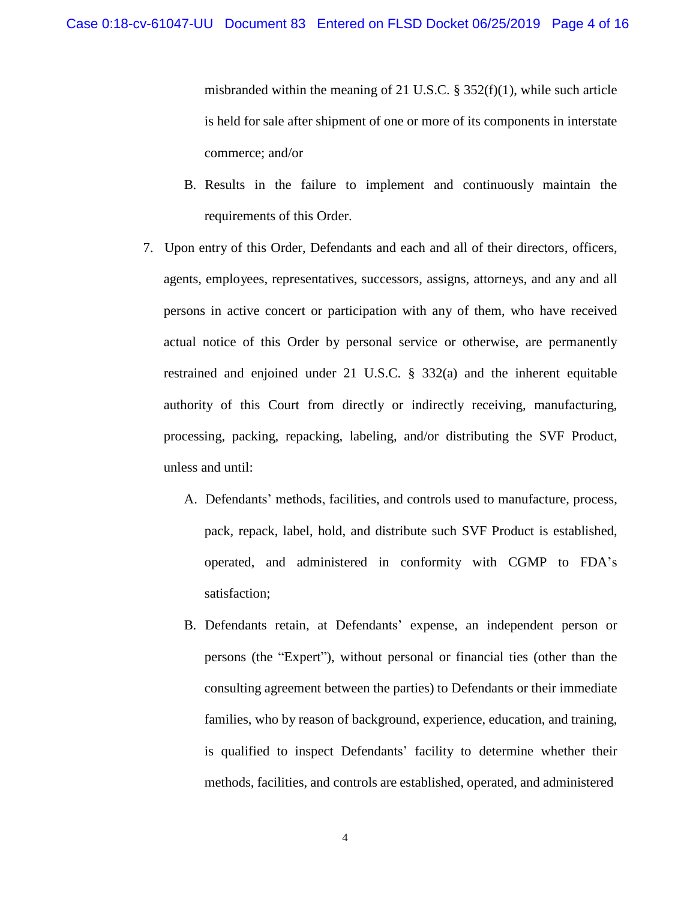misbranded within the meaning of 21 U.S.C.  $\S 352(f)(1)$ , while such article is held for sale after shipment of one or more of its components in interstate commerce; and/or

- B. Results in the failure to implement and continuously maintain the requirements of this Order.
- 7. Upon entry of this Order, Defendants and each and all of their directors, officers, agents, employees, representatives, successors, assigns, attorneys, and any and all persons in active concert or participation with any of them, who have received actual notice of this Order by personal service or otherwise, are permanently restrained and enjoined under 21 U.S.C. § 332(a) and the inherent equitable authority of this Court from directly or indirectly receiving, manufacturing, processing, packing, repacking, labeling, and/or distributing the SVF Product, unless and until:
	- A. Defendants' methods, facilities, and controls used to manufacture, process, pack, repack, label, hold, and distribute such SVF Product is established, operated, and administered in conformity with CGMP to FDA's satisfaction;
	- B. Defendants retain, at Defendants' expense, an independent person or persons (the "Expert"), without personal or financial ties (other than the consulting agreement between the parties) to Defendants or their immediate families, who by reason of background, experience, education, and training, is qualified to inspect Defendants' facility to determine whether their methods, facilities, and controls are established, operated, and administered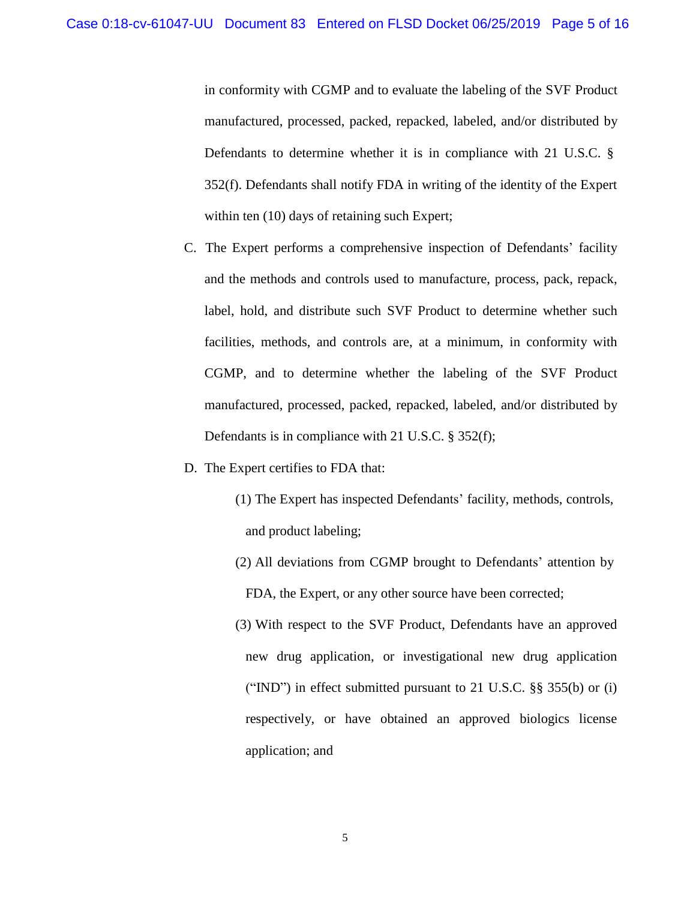in conformity with CGMP and to evaluate the labeling of the SVF Product manufactured, processed, packed, repacked, labeled, and/or distributed by Defendants to determine whether it is in compliance with 21 U.S.C. § 352(f). Defendants shall notify FDA in writing of the identity of the Expert within ten  $(10)$  days of retaining such Expert;

- C. The Expert performs a comprehensive inspection of Defendants' facility and the methods and controls used to manufacture, process, pack, repack, label, hold, and distribute such SVF Product to determine whether such facilities, methods, and controls are, at a minimum, in conformity with CGMP, and to determine whether the labeling of the SVF Product manufactured, processed, packed, repacked, labeled, and/or distributed by Defendants is in compliance with 21 U.S.C. § 352(f);
- D. The Expert certifies to FDA that:
	- (1) The Expert has inspected Defendants' facility, methods, controls, and product labeling;
	- (2) All deviations from CGMP brought to Defendants' attention by FDA, the Expert, or any other source have been corrected;
	- (3) With respect to the SVF Product, Defendants have an approved new drug application, or investigational new drug application ("IND") in effect submitted pursuant to 21 U.S.C. §§ 355(b) or (i) respectively, or have obtained an approved biologics license application; and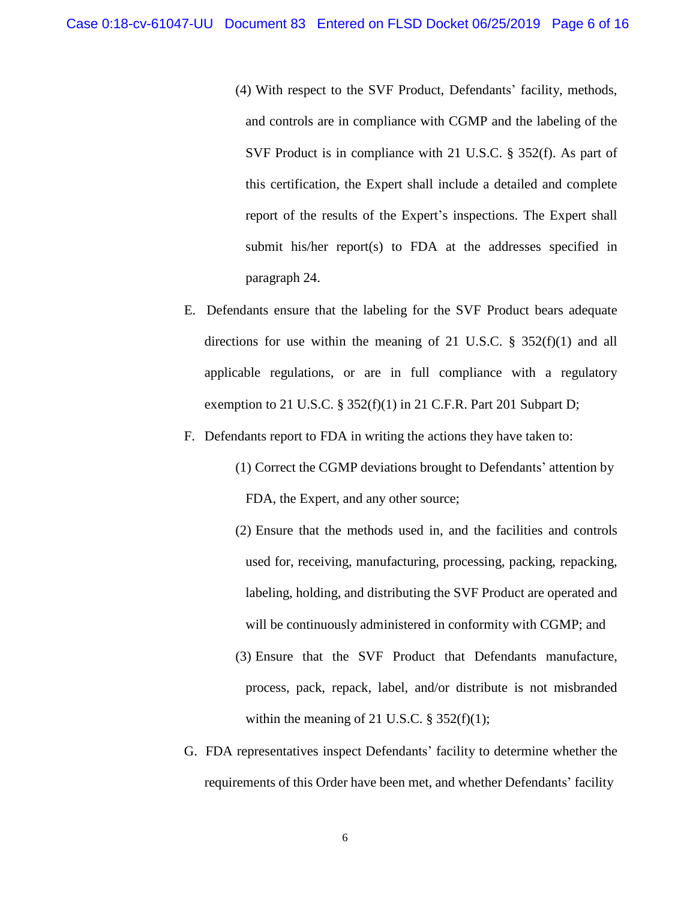(4) With respect to the SVF Product, Defendants' facility, methods, and controls are in compliance with CGMP and the labeling of the SVF Product is in compliance with 21 U.S.C. § 352(f). As part of this certification, the Expert shall include a detailed and complete report of the results of the Expert's inspections. The Expert shall submit his/her report(s) to FDA at the addresses specified in paragraph 24.

- E. Defendants ensure that the labeling for the SVF Product bears adequate directions for use within the meaning of 21 U.S.C.  $\S$  352(f)(1) and all applicable regulations, or are in full compliance with a regulatory exemption to 21 U.S.C.  $\S 352(f)(1)$  in 21 C.F.R. Part 201 Subpart D;
- F. Defendants report to FDA in writing the actions they have taken to:
	- (1) Correct the CGMP deviations brought to Defendants' attention by FDA, the Expert, and any other source;
	- (2) Ensure that the methods used in, and the facilities and controls used for, receiving, manufacturing, processing, packing, repacking, labeling, holding, and distributing the SVF Product are operated and will be continuously administered in conformity with CGMP; and
	- (3) Ensure that the SVF Product that Defendants manufacture, process, pack, repack, label, and/or distribute is not misbranded within the meaning of 21 U.S.C.  $\S$  352(f)(1);
- G. FDA representatives inspect Defendants' facility to determine whether the requirements of this Order have been met, and whether Defendants' facility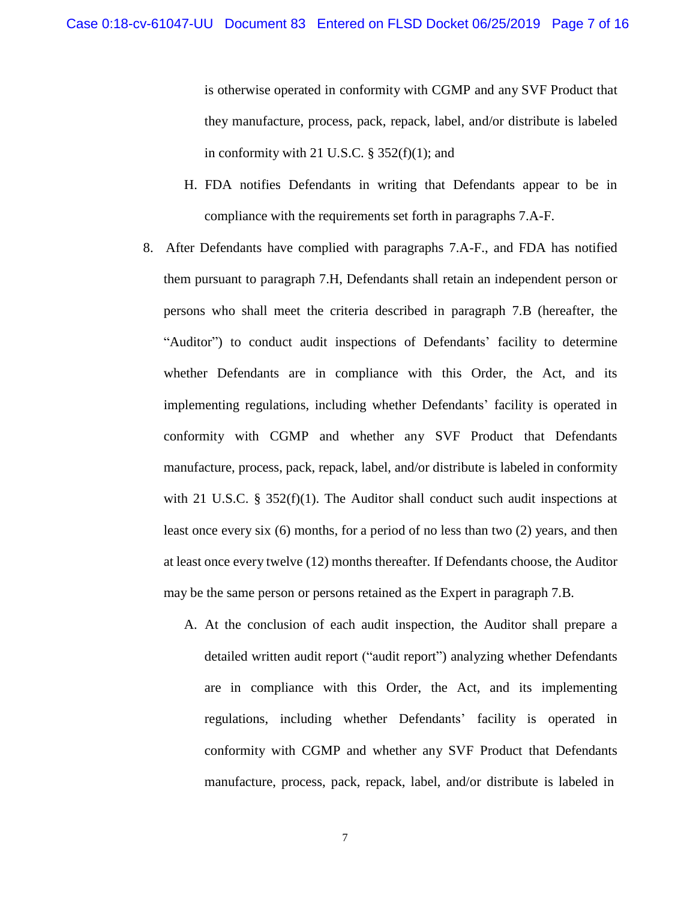is otherwise operated in conformity with CGMP and any SVF Product that they manufacture, process, pack, repack, label, and/or distribute is labeled in conformity with 21 U.S.C.  $\S$  352(f)(1); and

- H. FDA notifies Defendants in writing that Defendants appear to be in compliance with the requirements set forth in paragraphs 7.A-F.
- 8. After Defendants have complied with paragraphs 7.A-F., and FDA has notified them pursuant to paragraph 7.H, Defendants shall retain an independent person or persons who shall meet the criteria described in paragraph 7.B (hereafter, the "Auditor") to conduct audit inspections of Defendants' facility to determine whether Defendants are in compliance with this Order, the Act, and its implementing regulations, including whether Defendants' facility is operated in conformity with CGMP and whether any SVF Product that Defendants manufacture, process, pack, repack, label, and/or distribute is labeled in conformity with 21 U.S.C. § 352(f)(1). The Auditor shall conduct such audit inspections at least once every six (6) months, for a period of no less than two (2) years, and then at least once every twelve (12) months thereafter. If Defendants choose, the Auditor may be the same person or persons retained as the Expert in paragraph 7.B.
	- A. At the conclusion of each audit inspection, the Auditor shall prepare a detailed written audit report ("audit report") analyzing whether Defendants are in compliance with this Order, the Act, and its implementing regulations, including whether Defendants' facility is operated in conformity with CGMP and whether any SVF Product that Defendants manufacture, process, pack, repack, label, and/or distribute is labeled in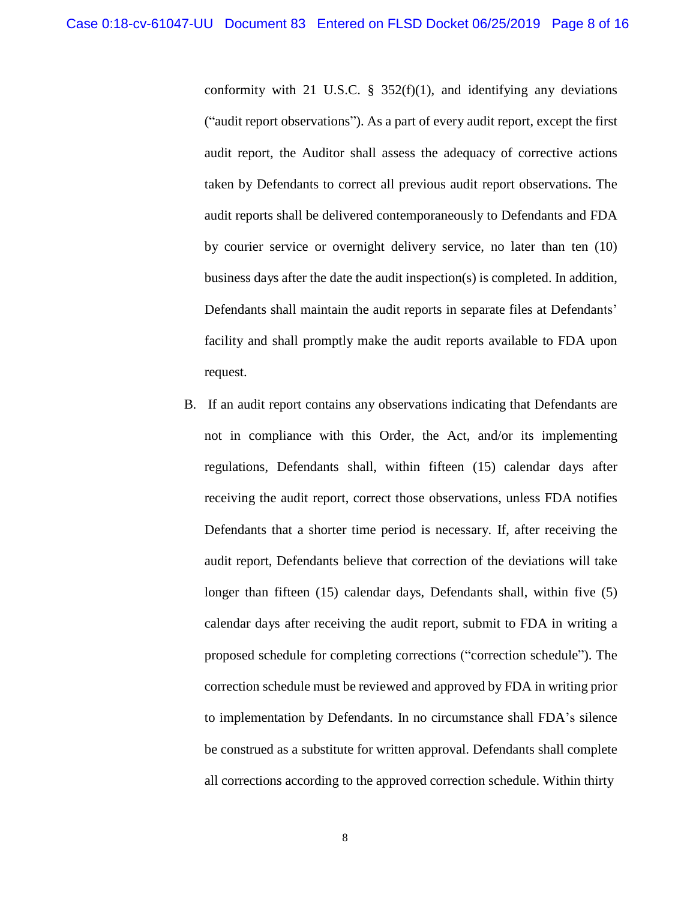conformity with 21 U.S.C.  $\S$  352(f)(1), and identifying any deviations ("audit report observations"). As a part of every audit report, except the first audit report, the Auditor shall assess the adequacy of corrective actions taken by Defendants to correct all previous audit report observations. The audit reports shall be delivered contemporaneously to Defendants and FDA by courier service or overnight delivery service, no later than ten (10) business days after the date the audit inspection(s) is completed. In addition, Defendants shall maintain the audit reports in separate files at Defendants' facility and shall promptly make the audit reports available to FDA upon request.

B. If an audit report contains any observations indicating that Defendants are not in compliance with this Order, the Act, and/or its implementing regulations, Defendants shall, within fifteen (15) calendar days after receiving the audit report, correct those observations, unless FDA notifies Defendants that a shorter time period is necessary. If, after receiving the audit report, Defendants believe that correction of the deviations will take longer than fifteen (15) calendar days, Defendants shall, within five (5) calendar days after receiving the audit report, submit to FDA in writing a proposed schedule for completing corrections ("correction schedule"). The correction schedule must be reviewed and approved by FDA in writing prior to implementation by Defendants. In no circumstance shall FDA's silence be construed as a substitute for written approval. Defendants shall complete all corrections according to the approved correction schedule. Within thirty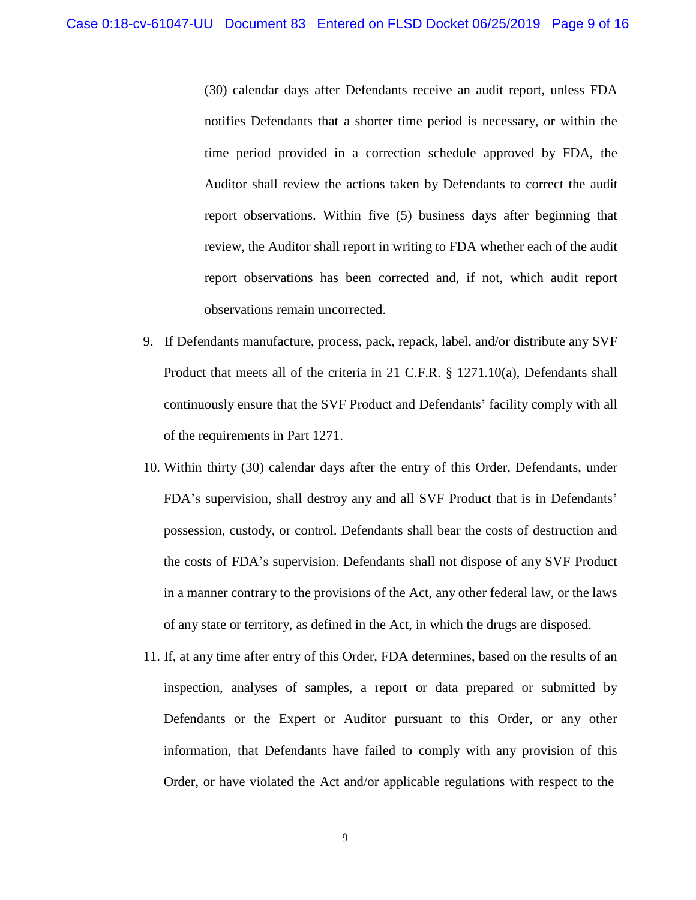(30) calendar days after Defendants receive an audit report, unless FDA notifies Defendants that a shorter time period is necessary, or within the time period provided in a correction schedule approved by FDA, the Auditor shall review the actions taken by Defendants to correct the audit report observations. Within five (5) business days after beginning that review, the Auditor shall report in writing to FDA whether each of the audit report observations has been corrected and, if not, which audit report observations remain uncorrected.

- 9. If Defendants manufacture, process, pack, repack, label, and/or distribute any SVF Product that meets all of the criteria in 21 C.F.R. § 1271.10(a), Defendants shall continuously ensure that the SVF Product and Defendants' facility comply with all of the requirements in Part 1271.
- 10. Within thirty (30) calendar days after the entry of this Order, Defendants, under FDA's supervision, shall destroy any and all SVF Product that is in Defendants' possession, custody, or control. Defendants shall bear the costs of destruction and the costs of FDA's supervision. Defendants shall not dispose of any SVF Product in a manner contrary to the provisions of the Act, any other federal law, or the laws of any state or territory, as defined in the Act, in which the drugs are disposed.
- 11. If, at any time after entry of this Order, FDA determines, based on the results of an inspection, analyses of samples, a report or data prepared or submitted by Defendants or the Expert or Auditor pursuant to this Order, or any other information, that Defendants have failed to comply with any provision of this Order, or have violated the Act and/or applicable regulations with respect to the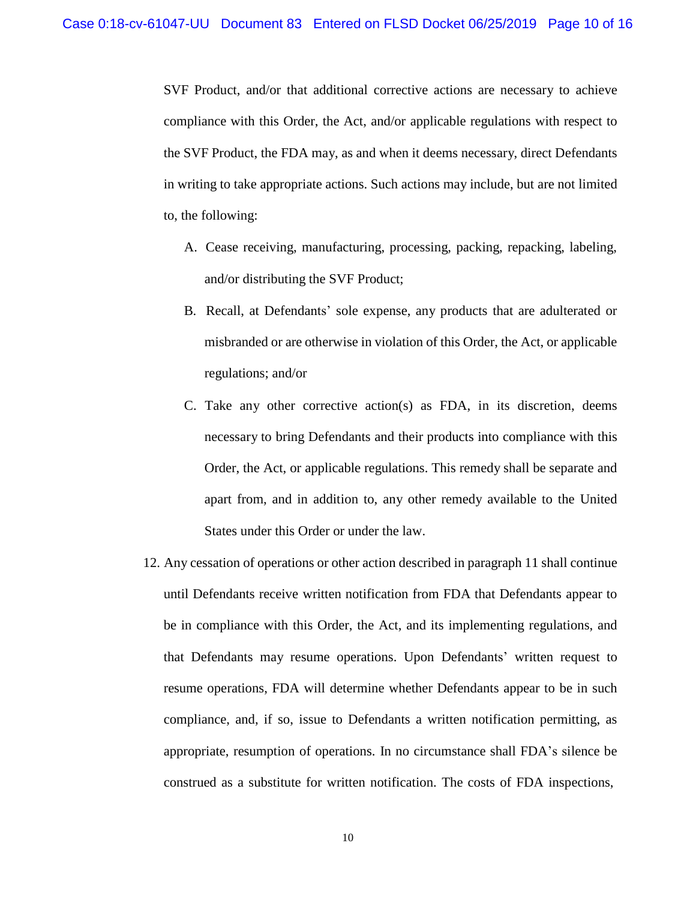SVF Product, and/or that additional corrective actions are necessary to achieve compliance with this Order, the Act, and/or applicable regulations with respect to the SVF Product, the FDA may, as and when it deems necessary, direct Defendants in writing to take appropriate actions. Such actions may include, but are not limited to, the following:

- A. Cease receiving, manufacturing, processing, packing, repacking, labeling, and/or distributing the SVF Product;
- B. Recall, at Defendants' sole expense, any products that are adulterated or misbranded or are otherwise in violation of this Order, the Act, or applicable regulations; and/or
- C. Take any other corrective action(s) as FDA, in its discretion, deems necessary to bring Defendants and their products into compliance with this Order, the Act, or applicable regulations. This remedy shall be separate and apart from, and in addition to, any other remedy available to the United States under this Order or under the law.
- 12. Any cessation of operations or other action described in paragraph 11 shall continue until Defendants receive written notification from FDA that Defendants appear to be in compliance with this Order, the Act, and its implementing regulations, and that Defendants may resume operations. Upon Defendants' written request to resume operations, FDA will determine whether Defendants appear to be in such compliance, and, if so, issue to Defendants a written notification permitting, as appropriate, resumption of operations. In no circumstance shall FDA's silence be construed as a substitute for written notification. The costs of FDA inspections,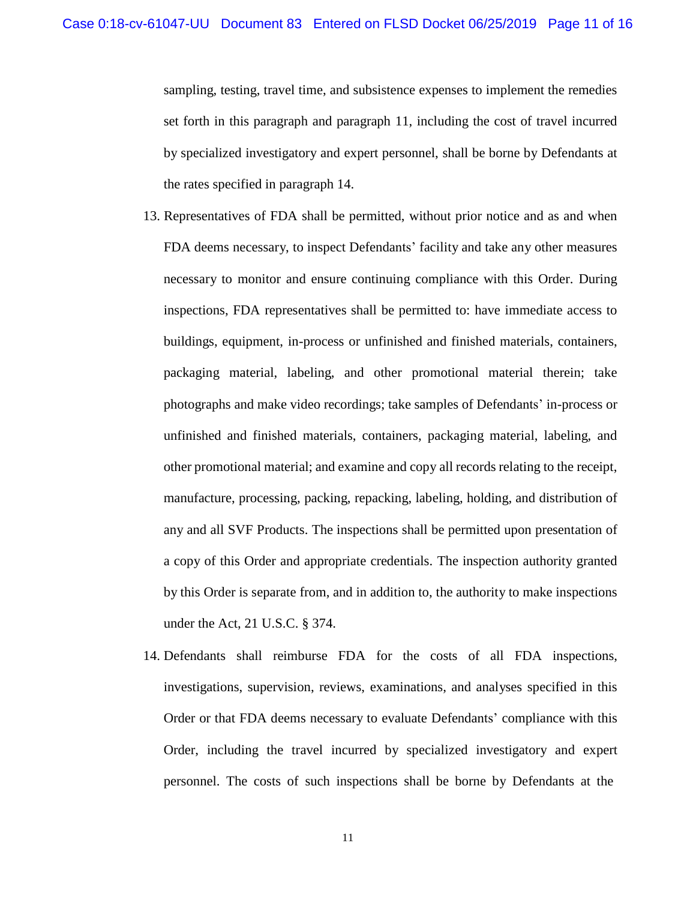sampling, testing, travel time, and subsistence expenses to implement the remedies set forth in this paragraph and paragraph 11, including the cost of travel incurred by specialized investigatory and expert personnel, shall be borne by Defendants at the rates specified in paragraph 14.

- 13. Representatives of FDA shall be permitted, without prior notice and as and when FDA deems necessary, to inspect Defendants' facility and take any other measures necessary to monitor and ensure continuing compliance with this Order. During inspections, FDA representatives shall be permitted to: have immediate access to buildings, equipment, in-process or unfinished and finished materials, containers, packaging material, labeling, and other promotional material therein; take photographs and make video recordings; take samples of Defendants' in-process or unfinished and finished materials, containers, packaging material, labeling, and other promotional material; and examine and copy all records relating to the receipt, manufacture, processing, packing, repacking, labeling, holding, and distribution of any and all SVF Products. The inspections shall be permitted upon presentation of a copy of this Order and appropriate credentials. The inspection authority granted by this Order is separate from, and in addition to, the authority to make inspections under the Act, 21 U.S.C. § 374.
- 14. Defendants shall reimburse FDA for the costs of all FDA inspections, investigations, supervision, reviews, examinations, and analyses specified in this Order or that FDA deems necessary to evaluate Defendants' compliance with this Order, including the travel incurred by specialized investigatory and expert personnel. The costs of such inspections shall be borne by Defendants at the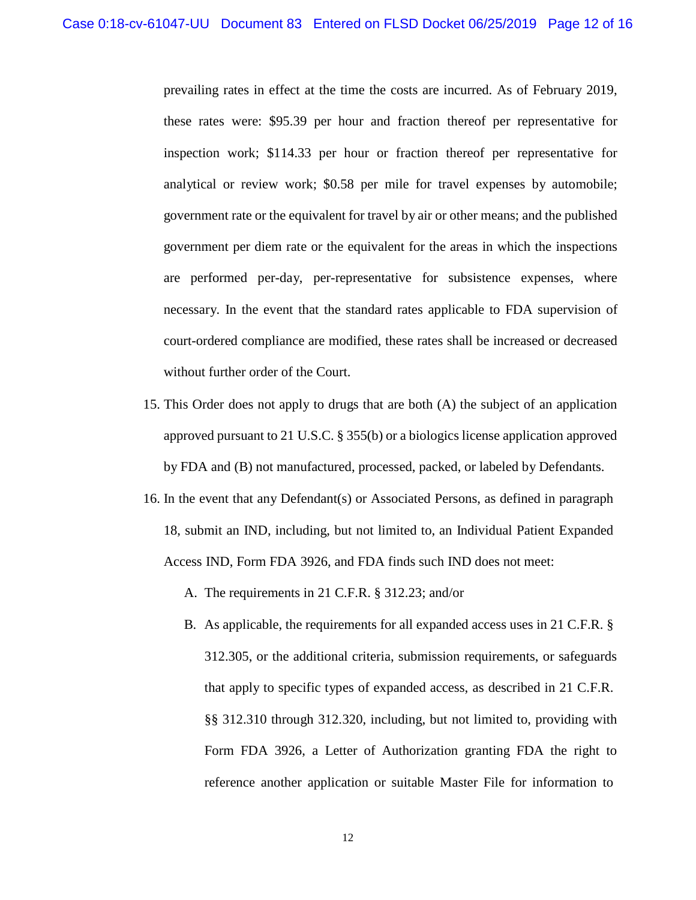prevailing rates in effect at the time the costs are incurred. As of February 2019, these rates were: \$95.39 per hour and fraction thereof per representative for inspection work; \$114.33 per hour or fraction thereof per representative for analytical or review work; \$0.58 per mile for travel expenses by automobile; government rate or the equivalent for travel by air or other means; and the published government per diem rate or the equivalent for the areas in which the inspections are performed per-day, per-representative for subsistence expenses, where necessary. In the event that the standard rates applicable to FDA supervision of court-ordered compliance are modified, these rates shall be increased or decreased without further order of the Court.

- 15. This Order does not apply to drugs that are both (A) the subject of an application approved pursuant to 21 U.S.C. § 355(b) or a biologics license application approved by FDA and (B) not manufactured, processed, packed, or labeled by Defendants.
- 16. In the event that any Defendant(s) or Associated Persons, as defined in paragraph 18, submit an IND, including, but not limited to, an Individual Patient Expanded Access IND, Form FDA 3926, and FDA finds such IND does not meet:
	- A. The requirements in 21 C.F.R. § 312.23; and/or
	- B. As applicable, the requirements for all expanded access uses in 21 C.F.R. § 312.305, or the additional criteria, submission requirements, or safeguards that apply to specific types of expanded access, as described in 21 C.F.R. §§ 312.310 through 312.320, including, but not limited to, providing with Form FDA 3926, a Letter of Authorization granting FDA the right to reference another application or suitable Master File for information to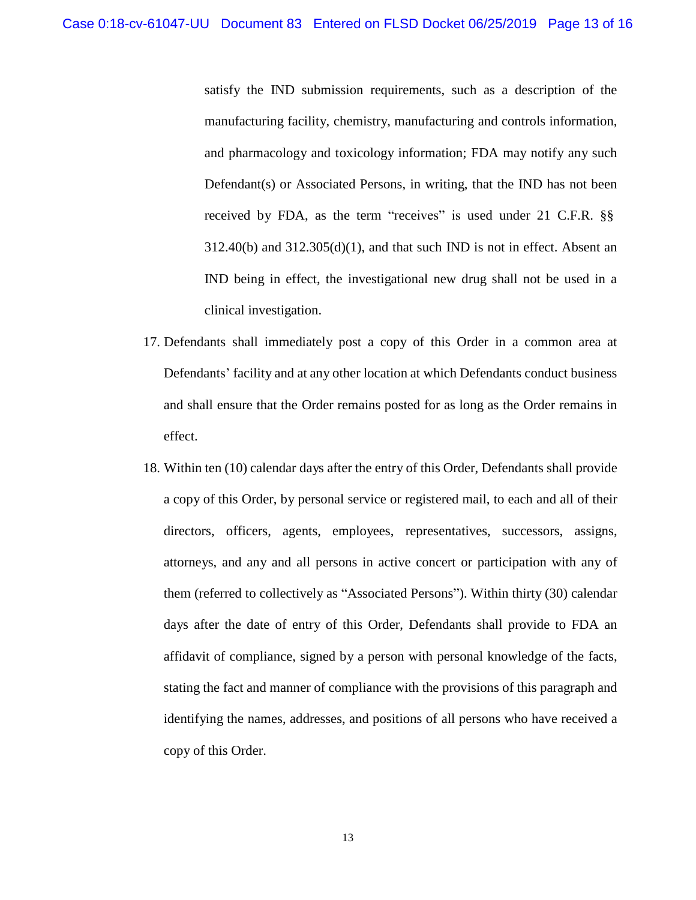satisfy the IND submission requirements, such as a description of the manufacturing facility, chemistry, manufacturing and controls information, and pharmacology and toxicology information; FDA may notify any such Defendant(s) or Associated Persons, in writing, that the IND has not been received by FDA, as the term "receives" is used under 21 C.F.R. §§  $312.40(b)$  and  $312.305(d)(1)$ , and that such IND is not in effect. Absent an IND being in effect, the investigational new drug shall not be used in a clinical investigation.

- 17. Defendants shall immediately post a copy of this Order in a common area at Defendants' facility and at any other location at which Defendants conduct business and shall ensure that the Order remains posted for as long as the Order remains in effect.
- 18. Within ten (10) calendar days after the entry of this Order, Defendants shall provide a copy of this Order, by personal service or registered mail, to each and all of their directors, officers, agents, employees, representatives, successors, assigns, attorneys, and any and all persons in active concert or participation with any of them (referred to collectively as "Associated Persons"). Within thirty (30) calendar days after the date of entry of this Order, Defendants shall provide to FDA an affidavit of compliance, signed by a person with personal knowledge of the facts, stating the fact and manner of compliance with the provisions of this paragraph and identifying the names, addresses, and positions of all persons who have received a copy of this Order.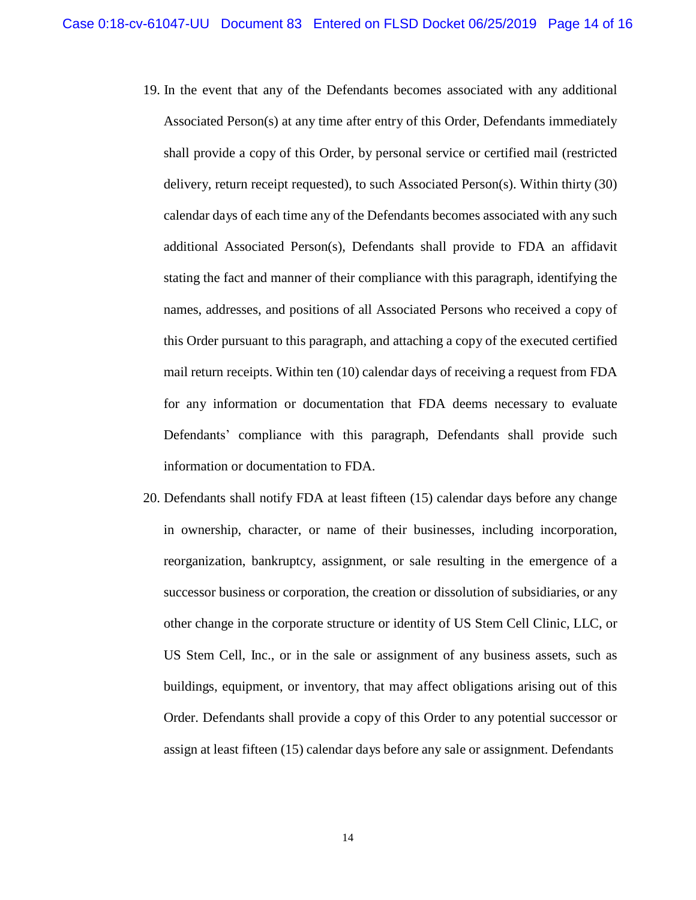- 19. In the event that any of the Defendants becomes associated with any additional Associated Person(s) at any time after entry of this Order, Defendants immediately shall provide a copy of this Order, by personal service or certified mail (restricted delivery, return receipt requested), to such Associated Person(s). Within thirty (30) calendar days of each time any of the Defendants becomes associated with any such additional Associated Person(s), Defendants shall provide to FDA an affidavit stating the fact and manner of their compliance with this paragraph, identifying the names, addresses, and positions of all Associated Persons who received a copy of this Order pursuant to this paragraph, and attaching a copy of the executed certified mail return receipts. Within ten (10) calendar days of receiving a request from FDA for any information or documentation that FDA deems necessary to evaluate Defendants' compliance with this paragraph, Defendants shall provide such information or documentation to FDA.
- 20. Defendants shall notify FDA at least fifteen (15) calendar days before any change in ownership, character, or name of their businesses, including incorporation, reorganization, bankruptcy, assignment, or sale resulting in the emergence of a successor business or corporation, the creation or dissolution of subsidiaries, or any other change in the corporate structure or identity of US Stem Cell Clinic, LLC, or US Stem Cell, Inc., or in the sale or assignment of any business assets, such as buildings, equipment, or inventory, that may affect obligations arising out of this Order. Defendants shall provide a copy of this Order to any potential successor or assign at least fifteen (15) calendar days before any sale or assignment. Defendants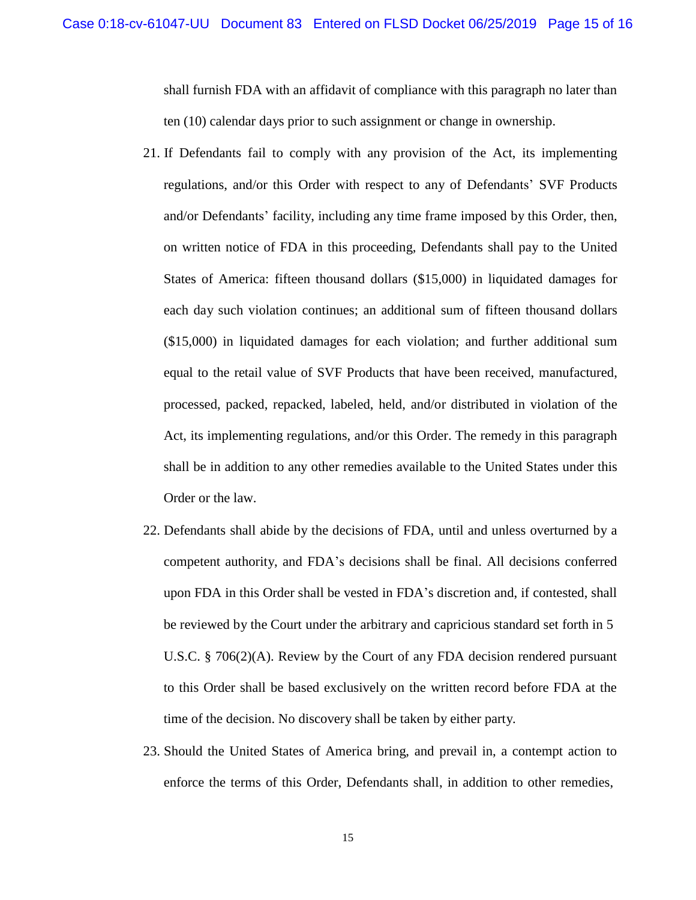shall furnish FDA with an affidavit of compliance with this paragraph no later than ten (10) calendar days prior to such assignment or change in ownership.

- 21. If Defendants fail to comply with any provision of the Act, its implementing regulations, and/or this Order with respect to any of Defendants' SVF Products and/or Defendants' facility, including any time frame imposed by this Order, then, on written notice of FDA in this proceeding, Defendants shall pay to the United States of America: fifteen thousand dollars (\$15,000) in liquidated damages for each day such violation continues; an additional sum of fifteen thousand dollars (\$15,000) in liquidated damages for each violation; and further additional sum equal to the retail value of SVF Products that have been received, manufactured, processed, packed, repacked, labeled, held, and/or distributed in violation of the Act, its implementing regulations, and/or this Order. The remedy in this paragraph shall be in addition to any other remedies available to the United States under this Order or the law.
- 22. Defendants shall abide by the decisions of FDA, until and unless overturned by a competent authority, and FDA's decisions shall be final. All decisions conferred upon FDA in this Order shall be vested in FDA's discretion and, if contested, shall be reviewed by the Court under the arbitrary and capricious standard set forth in 5 U.S.C. § 706(2)(A). Review by the Court of any FDA decision rendered pursuant to this Order shall be based exclusively on the written record before FDA at the time of the decision. No discovery shall be taken by either party.
- 23. Should the United States of America bring, and prevail in, a contempt action to enforce the terms of this Order, Defendants shall, in addition to other remedies,